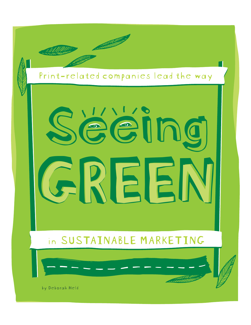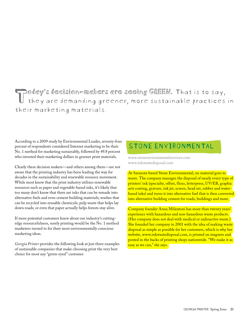## Today's decision-makers are seeing GREEN. That is to say,<br>I they are demanding greener, more sustainable practices in their marketing materials.

According to a 2009 study by Environmental Leader, seventy-four percent of respondents considered Internet marketing to be their No. 1 method for marketing sustainably, followed by 49.8 percent who invested their marketing dollars in greener print materials.

Clearly these decision makers—and others among them—are not aware that the printing industry has been leading the way for decades in the sustainability and renewable resource movement. While most know that the print industry utilizes renewable resources such as paper and vegetable-based inks, it's likely that too many don't know that there are inks that can be remade into alternative fuels and even cement building materials; washes that can be recycled into reusable chemicals; pulp waste that helps lay down roads; or even that paper actually helps forests stay alive.

If more potential customers knew about our industry's cuttingedge resourcefulness, surely printing would be the No. 1 method marketers turned to for their most environmentally conscious marketing ideas.

*Georgia Printer* provides the following look at just three examples of sustainable companies that make choosing print the very best choice for most any "green-eyed" customer.

## STONE ENVIRONMENTAL

www.stoneenvironmentalservices.com www.inkwastedisposal.com

At Sarasota-based Stone Environmental, no material goes to waste. The company manages the disposal of nearly every type of printers' ink (specialty, offset, flexo, letterpress, UV/EB, graphic arts coating, gravure, ink jet, screen, head set, rubber and waterbased inks) and turns it into alternative fuel that is then converted into alternative building cement for roads, buildings and more.

Company founder Anna Milantoni has more than twenty years' experience with hazardous and non-hazardous waste products. (Her company does not deal with medical or radioactive waste.) She founded her company in 2001 with the idea of making waste disposal as simple as possible for her customers, which is why her website, www.inkwastedisposal.com, is printed on magnets and posted in the backs of printing shops nationwide. "We make it as easy as we can," she says.